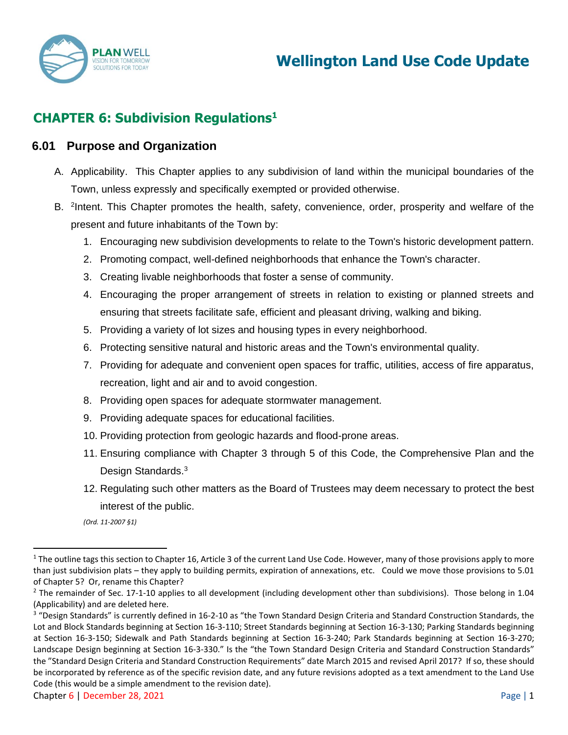

# **CHAPTER 6: Subdivision Regulations<sup>1</sup>**

#### **6.01 Purpose and Organization**

- A. Applicability. This Chapter applies to any subdivision of land within the municipal boundaries of the Town, unless expressly and specifically exempted or provided otherwise.
- B. <sup>2</sup>Intent. This Chapter promotes the health, safety, convenience, order, prosperity and welfare of the present and future inhabitants of the Town by:
	- 1. Encouraging new subdivision developments to relate to the Town's historic development pattern.
	- 2. Promoting compact, well-defined neighborhoods that enhance the Town's character.
	- 3. Creating livable neighborhoods that foster a sense of community.
	- 4. Encouraging the proper arrangement of streets in relation to existing or planned streets and ensuring that streets facilitate safe, efficient and pleasant driving, walking and biking.
	- 5. Providing a variety of lot sizes and housing types in every neighborhood.
	- 6. Protecting sensitive natural and historic areas and the Town's environmental quality.
	- 7. Providing for adequate and convenient open spaces for traffic, utilities, access of fire apparatus, recreation, light and air and to avoid congestion.
	- 8. Providing open spaces for adequate stormwater management.
	- 9. Providing adequate spaces for educational facilities.
	- 10. Providing protection from geologic hazards and flood-prone areas.
	- 11. Ensuring compliance with Chapter 3 through 5 of this Code, the Comprehensive Plan and the Design Standards.<sup>3</sup>
	- 12. Regulating such other matters as the Board of Trustees may deem necessary to protect the best interest of the public.

 $1$  The outline tags this section to Chapter 16, Article 3 of the current Land Use Code. However, many of those provisions apply to more than just subdivision plats – they apply to building permits, expiration of annexations, etc. Could we move those provisions to 5.01 of Chapter 5? Or, rename this Chapter?

 $<sup>2</sup>$  The remainder of Sec. 17-1-10 applies to all development (including development other than subdivisions). Those belong in 1.04</sup> (Applicability) and are deleted here.

<sup>&</sup>lt;sup>3</sup> "Design Standards" is currently defined in 16-2-10 as "the Town Standard Design Criteria and Standard Construction Standards, the Lot and Block Standards beginning at Section 16-3-110; Street Standards beginning at Section 16-3-130; Parking Standards beginning at Section 16-3-150; Sidewalk and Path Standards beginning at Section 16-3-240; Park Standards beginning at Section 16-3-270; Landscape Design beginning at Section 16-3-330." Is the "the Town Standard Design Criteria and Standard Construction Standards" the "Standard Design Criteria and Standard Construction Requirements" date March 2015 and revised April 2017? If so, these should be incorporated by reference as of the specific revision date, and any future revisions adopted as a text amendment to the Land Use Code (this would be a simple amendment to the revision date).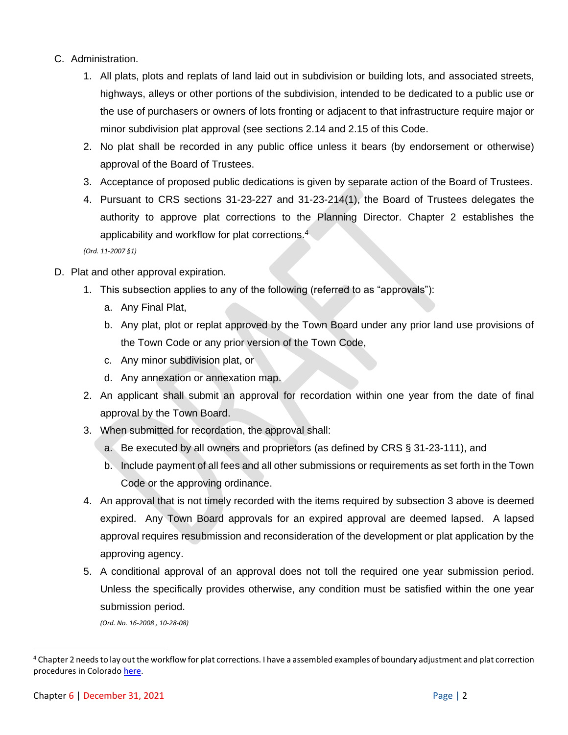#### C. Administration.

- 1. All plats, plots and replats of land laid out in subdivision or building lots, and associated streets, highways, alleys or other portions of the subdivision, intended to be dedicated to a public use or the use of purchasers or owners of lots fronting or adjacent to that infrastructure require major or minor subdivision plat approval (see sections 2.14 and 2.15 of this Code.
- 2. No plat shall be recorded in any public office unless it bears (by endorsement or otherwise) approval of the Board of Trustees.
- 3. Acceptance of proposed public dedications is given by separate action of the Board of Trustees.
- 4. Pursuant to CRS sections 31-23-227 and 31-23-214(1), the Board of Trustees delegates the authority to approve plat corrections to the Planning Director. Chapter 2 establishes the applicability and workflow for plat corrections.<sup>4</sup>

*(Ord. 11-2007 §1)* 

- D. Plat and other approval expiration.
	- 1. This subsection applies to any of the following (referred to as "approvals"):
		- a. Any Final Plat,
		- b. Any plat, plot or replat approved by the Town Board under any prior land use provisions of the Town Code or any prior version of the Town Code,
		- c. Any minor subdivision plat, or
		- d. Any annexation or annexation map.
	- 2. An applicant shall submit an approval for recordation within one year from the date of final approval by the Town Board.
	- 3. When submitted for recordation, the approval shall:
		- a. Be executed by all owners and proprietors (as defined by CRS § 31-23-111), and
		- b. Include payment of all fees and all other submissions or requirements as set forth in the Town Code or the approving ordinance.
	- 4. An approval that is not timely recorded with the items required by subsection 3 above is deemed expired. Any Town Board approvals for an expired approval are deemed lapsed. A lapsed approval requires resubmission and reconsideration of the development or plat application by the approving agency.
	- 5. A conditional approval of an approval does not toll the required one year submission period. Unless the specifically provides otherwise, any condition must be satisfied within the one year submission period.

*(Ord. No. 16-2008 , 10-28-08)*

<sup>4</sup> Chapter 2 needs to lay out the workflow for plat corrections. I have a assembled examples of boundary adjustment and plat correction procedures in Colorad[o here.](https://www.dropbox.com/s/z3ughmx6xtb20uw/Boundary%20Adjustment_CO.docx?dl=0)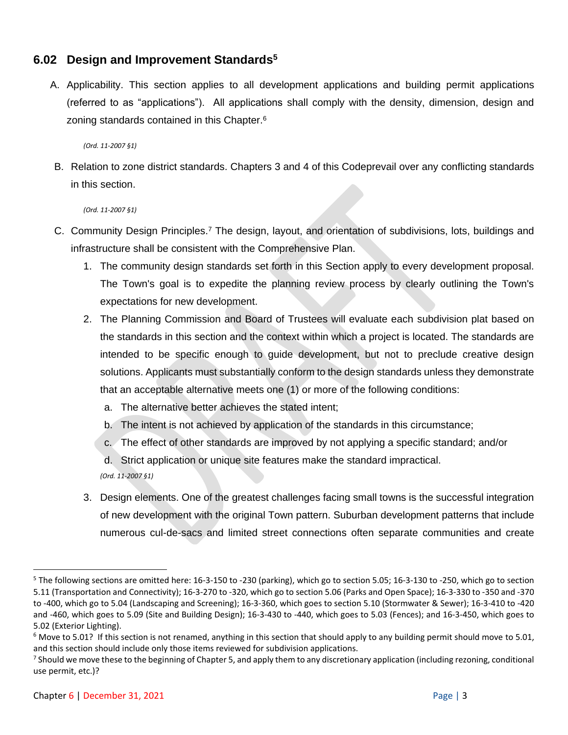## **6.02 Design and Improvement Standards<sup>5</sup>**

A. Applicability. This section applies to all development applications and building permit applications (referred to as "applications"). All applications shall comply with the density, dimension, design and zoning standards contained in this Chapter.<sup>6</sup>

*(Ord. 11-2007 §1)* 

B. Relation to zone district standards. Chapters 3 and 4 of this Codeprevail over any conflicting standards in this section.

*(Ord. 11-2007 §1)* 

- C. Community Design Principles.<sup>7</sup> The design, layout, and orientation of subdivisions, lots, buildings and infrastructure shall be consistent with the Comprehensive Plan.
	- 1. The community design standards set forth in this Section apply to every development proposal. The Town's goal is to expedite the planning review process by clearly outlining the Town's expectations for new development.
	- 2. The Planning Commission and Board of Trustees will evaluate each subdivision plat based on the standards in this section and the context within which a project is located. The standards are intended to be specific enough to guide development, but not to preclude creative design solutions. Applicants must substantially conform to the design standards unless they demonstrate that an acceptable alternative meets one (1) or more of the following conditions:
		- a. The alternative better achieves the stated intent;
		- b. The intent is not achieved by application of the standards in this circumstance;
		- c. The effect of other standards are improved by not applying a specific standard; and/or
		- d. Strict application or unique site features make the standard impractical.

*(Ord. 11-2007 §1)* 

3. Design elements. One of the greatest challenges facing small towns is the successful integration of new development with the original Town pattern. Suburban development patterns that include numerous cul-de-sacs and limited street connections often separate communities and create

 $5$  The following sections are omitted here: 16-3-150 to -230 (parking), which go to section 5.05; 16-3-130 to -250, which go to section 5.11 (Transportation and Connectivity); 16-3-270 to -320, which go to section 5.06 (Parks and Open Space); 16-3-330 to -350 and -370 to -400, which go to 5.04 (Landscaping and Screening); 16-3-360, which goes to section 5.10 (Stormwater & Sewer); 16-3-410 to -420 and -460, which goes to 5.09 (Site and Building Design); 16-3-430 to -440, which goes to 5.03 (Fences); and 16-3-450, which goes to 5.02 (Exterior Lighting).

 $6$  Move to 5.01? If this section is not renamed, anything in this section that should apply to any building permit should move to 5.01, and this section should include only those items reviewed for subdivision applications.

<sup>&</sup>lt;sup>7</sup> Should we move these to the beginning of Chapter 5, and apply them to any discretionary application (including rezoning, conditional use permit, etc.)?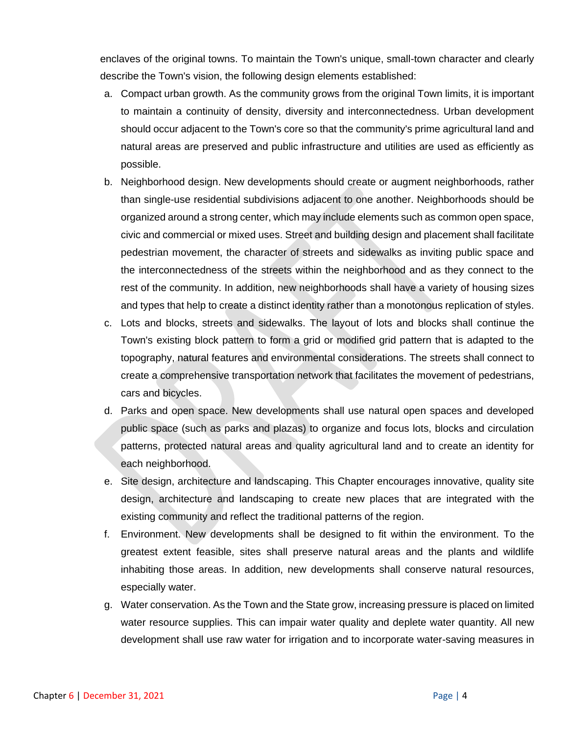enclaves of the original towns. To maintain the Town's unique, small-town character and clearly describe the Town's vision, the following design elements established:

- a. Compact urban growth. As the community grows from the original Town limits, it is important to maintain a continuity of density, diversity and interconnectedness. Urban development should occur adjacent to the Town's core so that the community's prime agricultural land and natural areas are preserved and public infrastructure and utilities are used as efficiently as possible.
- b. Neighborhood design. New developments should create or augment neighborhoods, rather than single-use residential subdivisions adjacent to one another. Neighborhoods should be organized around a strong center, which may include elements such as common open space, civic and commercial or mixed uses. Street and building design and placement shall facilitate pedestrian movement, the character of streets and sidewalks as inviting public space and the interconnectedness of the streets within the neighborhood and as they connect to the rest of the community. In addition, new neighborhoods shall have a variety of housing sizes and types that help to create a distinct identity rather than a monotonous replication of styles.
- c. Lots and blocks, streets and sidewalks. The layout of lots and blocks shall continue the Town's existing block pattern to form a grid or modified grid pattern that is adapted to the topography, natural features and environmental considerations. The streets shall connect to create a comprehensive transportation network that facilitates the movement of pedestrians, cars and bicycles.
- d. Parks and open space. New developments shall use natural open spaces and developed public space (such as parks and plazas) to organize and focus lots, blocks and circulation patterns, protected natural areas and quality agricultural land and to create an identity for each neighborhood.
- e. Site design, architecture and landscaping. This Chapter encourages innovative, quality site design, architecture and landscaping to create new places that are integrated with the existing community and reflect the traditional patterns of the region.
- f. Environment. New developments shall be designed to fit within the environment. To the greatest extent feasible, sites shall preserve natural areas and the plants and wildlife inhabiting those areas. In addition, new developments shall conserve natural resources, especially water.
- g. Water conservation. As the Town and the State grow, increasing pressure is placed on limited water resource supplies. This can impair water quality and deplete water quantity. All new development shall use raw water for irrigation and to incorporate water-saving measures in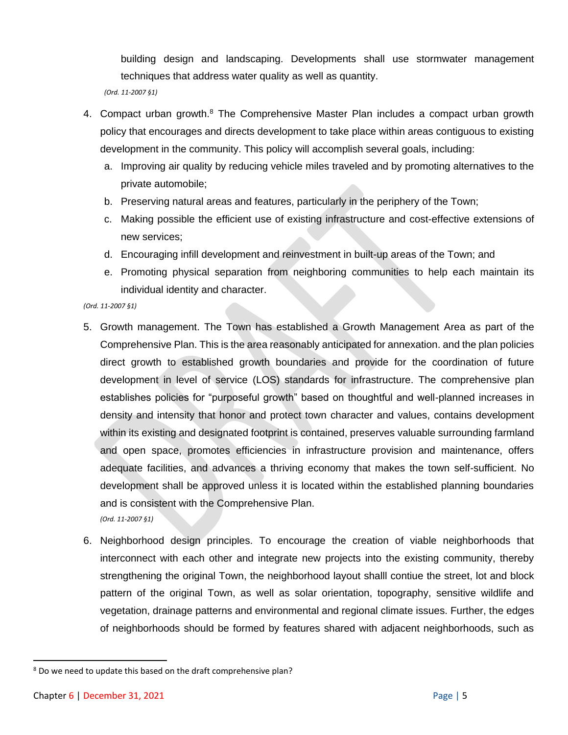building design and landscaping. Developments shall use stormwater management techniques that address water quality as well as quantity.

*(Ord. 11-2007 §1)* 

- 4. Compact urban growth.<sup>8</sup> The Comprehensive Master Plan includes a compact urban growth policy that encourages and directs development to take place within areas contiguous to existing development in the community. This policy will accomplish several goals, including:
	- a. Improving air quality by reducing vehicle miles traveled and by promoting alternatives to the private automobile;
	- b. Preserving natural areas and features, particularly in the periphery of the Town;
	- c. Making possible the efficient use of existing infrastructure and cost-effective extensions of new services;
	- d. Encouraging infill development and reinvestment in built-up areas of the Town; and
	- e. Promoting physical separation from neighboring communities to help each maintain its individual identity and character.

- 5. Growth management. The Town has established a Growth Management Area as part of the Comprehensive Plan. This is the area reasonably anticipated for annexation. and the plan policies direct growth to established growth boundaries and provide for the coordination of future development in level of service (LOS) standards for infrastructure. The comprehensive plan establishes policies for "purposeful growth" based on thoughtful and well-planned increases in density and intensity that honor and protect town character and values, contains development within its existing and designated footprint is contained, preserves valuable surrounding farmland and open space, promotes efficiencies in infrastructure provision and maintenance, offers adequate facilities, and advances a thriving economy that makes the town self-sufficient. No development shall be approved unless it is located within the established planning boundaries and is consistent with the Comprehensive Plan. *(Ord. 11-2007 §1)*
- 6. Neighborhood design principles. To encourage the creation of viable neighborhoods that interconnect with each other and integrate new projects into the existing community, thereby strengthening the original Town, the neighborhood layout shalll contiue the street, lot and block pattern of the original Town, as well as solar orientation, topography, sensitive wildlife and vegetation, drainage patterns and environmental and regional climate issues. Further, the edges of neighborhoods should be formed by features shared with adjacent neighborhoods, such as

<sup>&</sup>lt;sup>8</sup> Do we need to update this based on the draft comprehensive plan?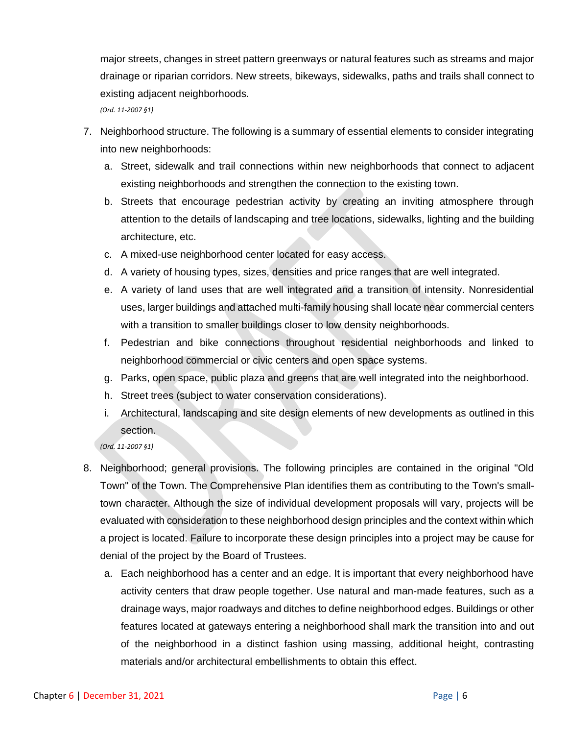major streets, changes in street pattern greenways or natural features such as streams and major drainage or riparian corridors. New streets, bikeways, sidewalks, paths and trails shall connect to existing adjacent neighborhoods.

*(Ord. 11-2007 §1)* 

- 7. Neighborhood structure. The following is a summary of essential elements to consider integrating into new neighborhoods:
	- a. Street, sidewalk and trail connections within new neighborhoods that connect to adjacent existing neighborhoods and strengthen the connection to the existing town.
	- b. Streets that encourage pedestrian activity by creating an inviting atmosphere through attention to the details of landscaping and tree locations, sidewalks, lighting and the building architecture, etc.
	- c. A mixed-use neighborhood center located for easy access.
	- d. A variety of housing types, sizes, densities and price ranges that are well integrated.
	- e. A variety of land uses that are well integrated and a transition of intensity. Nonresidential uses, larger buildings and attached multi-family housing shall locate near commercial centers with a transition to smaller buildings closer to low density neighborhoods.
	- f. Pedestrian and bike connections throughout residential neighborhoods and linked to neighborhood commercial or civic centers and open space systems.
	- g. Parks, open space, public plaza and greens that are well integrated into the neighborhood.
	- h. Street trees (subject to water conservation considerations).
	- i. Architectural, landscaping and site design elements of new developments as outlined in this section.

- 8. Neighborhood; general provisions. The following principles are contained in the original "Old Town" of the Town. The Comprehensive Plan identifies them as contributing to the Town's smalltown character. Although the size of individual development proposals will vary, projects will be evaluated with consideration to these neighborhood design principles and the context within which a project is located. Failure to incorporate these design principles into a project may be cause for denial of the project by the Board of Trustees.
	- a. Each neighborhood has a center and an edge. It is important that every neighborhood have activity centers that draw people together. Use natural and man-made features, such as a drainage ways, major roadways and ditches to define neighborhood edges. Buildings or other features located at gateways entering a neighborhood shall mark the transition into and out of the neighborhood in a distinct fashion using massing, additional height, contrasting materials and/or architectural embellishments to obtain this effect.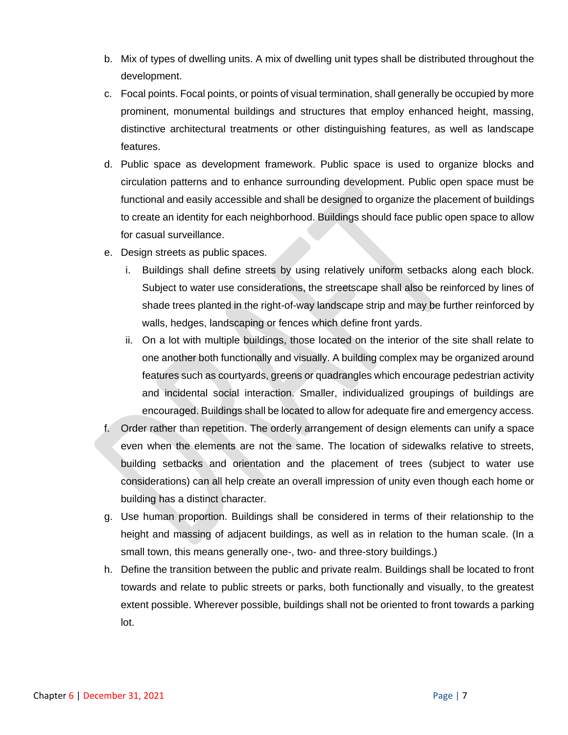- b. Mix of types of dwelling units. A mix of dwelling unit types shall be distributed throughout the development.
- c. Focal points. Focal points, or points of visual termination, shall generally be occupied by more prominent, monumental buildings and structures that employ enhanced height, massing, distinctive architectural treatments or other distinguishing features, as well as landscape features.
- d. Public space as development framework. Public space is used to organize blocks and circulation patterns and to enhance surrounding development. Public open space must be functional and easily accessible and shall be designed to organize the placement of buildings to create an identity for each neighborhood. Buildings should face public open space to allow for casual surveillance.
- e. Design streets as public spaces.
	- i. Buildings shall define streets by using relatively uniform setbacks along each block. Subject to water use considerations, the streetscape shall also be reinforced by lines of shade trees planted in the right-of-way landscape strip and may be further reinforced by walls, hedges, landscaping or fences which define front yards.
	- ii. On a lot with multiple buildings, those located on the interior of the site shall relate to one another both functionally and visually. A building complex may be organized around features such as courtyards, greens or quadrangles which encourage pedestrian activity and incidental social interaction. Smaller, individualized groupings of buildings are encouraged. Buildings shall be located to allow for adequate fire and emergency access.
- f. Order rather than repetition. The orderly arrangement of design elements can unify a space even when the elements are not the same. The location of sidewalks relative to streets, building setbacks and orientation and the placement of trees (subject to water use considerations) can all help create an overall impression of unity even though each home or building has a distinct character.
- g. Use human proportion. Buildings shall be considered in terms of their relationship to the height and massing of adjacent buildings, as well as in relation to the human scale. (In a small town, this means generally one-, two- and three-story buildings.)
- h. Define the transition between the public and private realm. Buildings shall be located to front towards and relate to public streets or parks, both functionally and visually, to the greatest extent possible. Wherever possible, buildings shall not be oriented to front towards a parking lot.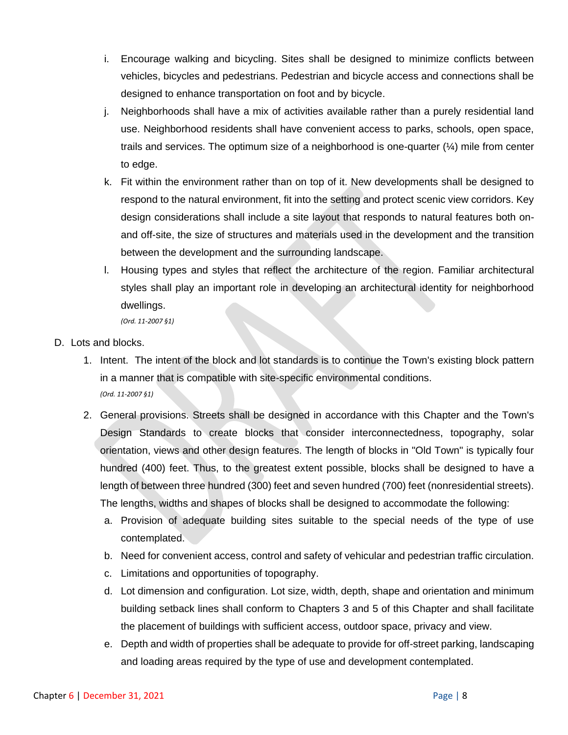- i. Encourage walking and bicycling. Sites shall be designed to minimize conflicts between vehicles, bicycles and pedestrians. Pedestrian and bicycle access and connections shall be designed to enhance transportation on foot and by bicycle.
- j. Neighborhoods shall have a mix of activities available rather than a purely residential land use. Neighborhood residents shall have convenient access to parks, schools, open space, trails and services. The optimum size of a neighborhood is one-quarter  $(\frac{1}{4})$  mile from center to edge.
- k. Fit within the environment rather than on top of it. New developments shall be designed to respond to the natural environment, fit into the setting and protect scenic view corridors. Key design considerations shall include a site layout that responds to natural features both onand off-site, the size of structures and materials used in the development and the transition between the development and the surrounding landscape.
- l. Housing types and styles that reflect the architecture of the region. Familiar architectural styles shall play an important role in developing an architectural identity for neighborhood dwellings.

- D. Lots and blocks.
	- 1. Intent. The intent of the block and lot standards is to continue the Town's existing block pattern in a manner that is compatible with site-specific environmental conditions. *(Ord. 11-2007 §1)*
	- 2. General provisions. Streets shall be designed in accordance with this Chapter and the Town's Design Standards to create blocks that consider interconnectedness, topography, solar orientation, views and other design features. The length of blocks in "Old Town" is typically four hundred (400) feet. Thus, to the greatest extent possible, blocks shall be designed to have a length of between three hundred (300) feet and seven hundred (700) feet (nonresidential streets). The lengths, widths and shapes of blocks shall be designed to accommodate the following:
		- a. Provision of adequate building sites suitable to the special needs of the type of use contemplated.
		- b. Need for convenient access, control and safety of vehicular and pedestrian traffic circulation.
		- c. Limitations and opportunities of topography.
		- d. Lot dimension and configuration. Lot size, width, depth, shape and orientation and minimum building setback lines shall conform to Chapters 3 and 5 of this Chapter and shall facilitate the placement of buildings with sufficient access, outdoor space, privacy and view.
		- e. Depth and width of properties shall be adequate to provide for off-street parking, landscaping and loading areas required by the type of use and development contemplated.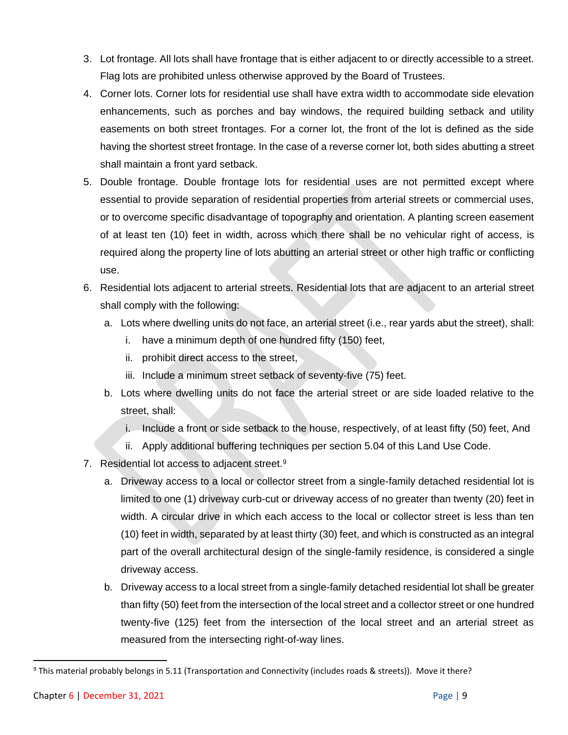- 3. Lot frontage. All lots shall have frontage that is either adjacent to or directly accessible to a street. Flag lots are prohibited unless otherwise approved by the Board of Trustees.
- 4. Corner lots. Corner lots for residential use shall have extra width to accommodate side elevation enhancements, such as porches and bay windows, the required building setback and utility easements on both street frontages. For a corner lot, the front of the lot is defined as the side having the shortest street frontage. In the case of a reverse corner lot, both sides abutting a street shall maintain a front yard setback.
- 5. Double frontage. Double frontage lots for residential uses are not permitted except where essential to provide separation of residential properties from arterial streets or commercial uses, or to overcome specific disadvantage of topography and orientation. A planting screen easement of at least ten (10) feet in width, across which there shall be no vehicular right of access, is required along the property line of lots abutting an arterial street or other high traffic or conflicting use.
- 6. Residential lots adjacent to arterial streets. Residential lots that are adjacent to an arterial street shall comply with the following:
	- a. Lots where dwelling units do not face, an arterial street (i.e., rear yards abut the street), shall:
		- i. have a minimum depth of one hundred fifty (150) feet,
		- ii. prohibit direct access to the street,
		- iii. Include a minimum street setback of seventy-five (75) feet.
	- b. Lots where dwelling units do not face the arterial street or are side loaded relative to the street, shall:
		- i. Include a front or side setback to the house, respectively, of at least fifty (50) feet, And
		- ii. Apply additional buffering techniques per section 5.04 of this Land Use Code.
- 7. Residential lot access to adjacent street.<sup>9</sup>
	- a. Driveway access to a local or collector street from a single-family detached residential lot is limited to one (1) driveway curb-cut or driveway access of no greater than twenty (20) feet in width. A circular drive in which each access to the local or collector street is less than ten (10) feet in width, separated by at least thirty (30) feet, and which is constructed as an integral part of the overall architectural design of the single-family residence, is considered a single driveway access.
	- b. Driveway access to a local street from a single-family detached residential lot shall be greater than fifty (50) feet from the intersection of the local street and a collector street or one hundred twenty-five (125) feet from the intersection of the local street and an arterial street as measured from the intersecting right-of-way lines.

<sup>&</sup>lt;sup>9</sup> This material probably belongs in 5.11 (Transportation and Connectivity (includes roads & streets)). Move it there?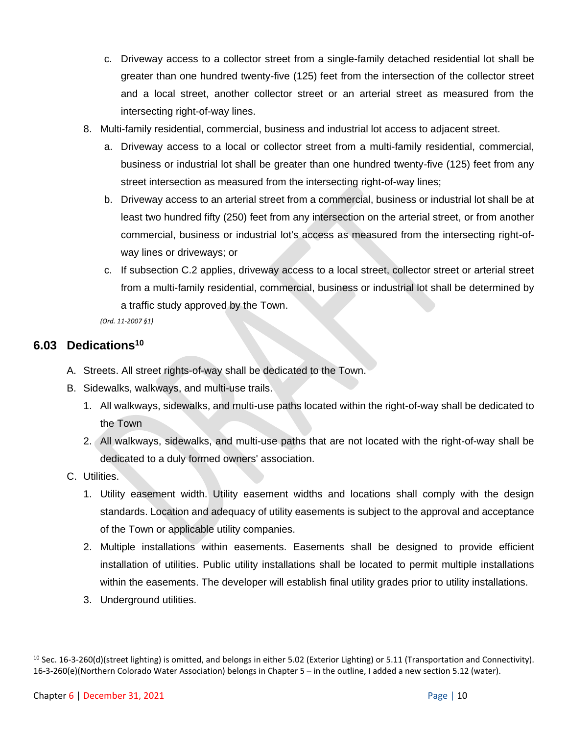- c. Driveway access to a collector street from a single-family detached residential lot shall be greater than one hundred twenty-five (125) feet from the intersection of the collector street and a local street, another collector street or an arterial street as measured from the intersecting right-of-way lines.
- 8. Multi-family residential, commercial, business and industrial lot access to adjacent street.
	- a. Driveway access to a local or collector street from a multi-family residential, commercial, business or industrial lot shall be greater than one hundred twenty-five (125) feet from any street intersection as measured from the intersecting right-of-way lines;
	- b. Driveway access to an arterial street from a commercial, business or industrial lot shall be at least two hundred fifty (250) feet from any intersection on the arterial street, or from another commercial, business or industrial lot's access as measured from the intersecting right-ofway lines or driveways; or
	- c. If subsection C.2 applies, driveway access to a local street, collector street or arterial street from a multi-family residential, commercial, business or industrial lot shall be determined by a traffic study approved by the Town.

*(Ord. 11-2007 §1)* 

### **6.03 Dedications<sup>10</sup>**

- A. Streets. All street rights-of-way shall be dedicated to the Town.
- B. Sidewalks, walkways, and multi-use trails.
	- 1. All walkways, sidewalks, and multi-use paths located within the right-of-way shall be dedicated to the Town
	- 2. All walkways, sidewalks, and multi-use paths that are not located with the right-of-way shall be dedicated to a duly formed owners' association.
- C. Utilities.
	- 1. Utility easement width. Utility easement widths and locations shall comply with the design standards. Location and adequacy of utility easements is subject to the approval and acceptance of the Town or applicable utility companies.
	- 2. Multiple installations within easements. Easements shall be designed to provide efficient installation of utilities. Public utility installations shall be located to permit multiple installations within the easements. The developer will establish final utility grades prior to utility installations.
	- 3. Underground utilities.

 $10$  Sec. 16-3-260(d)(street lighting) is omitted, and belongs in either 5.02 (Exterior Lighting) or 5.11 (Transportation and Connectivity). 16-3-260(e)(Northern Colorado Water Association) belongs in Chapter 5 – in the outline, I added a new section 5.12 (water).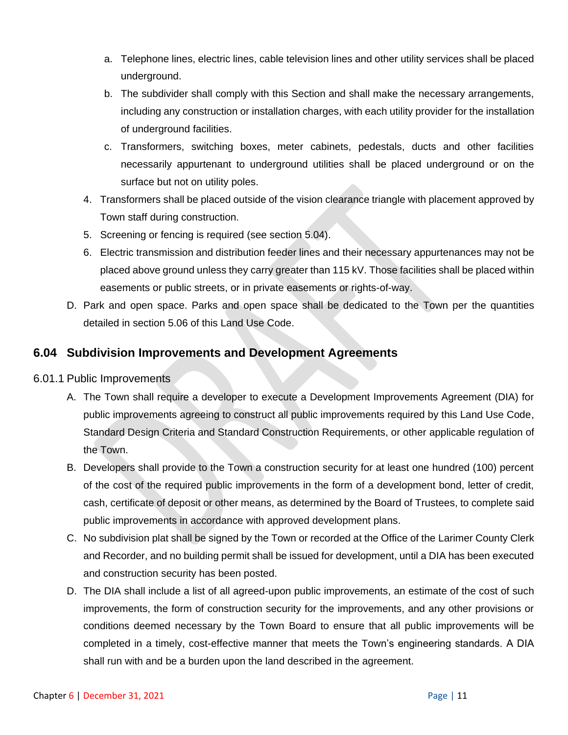- a. Telephone lines, electric lines, cable television lines and other utility services shall be placed underground.
- b. The subdivider shall comply with this Section and shall make the necessary arrangements, including any construction or installation charges, with each utility provider for the installation of underground facilities.
- c. Transformers, switching boxes, meter cabinets, pedestals, ducts and other facilities necessarily appurtenant to underground utilities shall be placed underground or on the surface but not on utility poles.
- 4. Transformers shall be placed outside of the vision clearance triangle with placement approved by Town staff during construction.
- 5. Screening or fencing is required (see section 5.04).
- 6. Electric transmission and distribution feeder lines and their necessary appurtenances may not be placed above ground unless they carry greater than 115 kV. Those facilities shall be placed within easements or public streets, or in private easements or rights-of-way.
- D. Park and open space. Parks and open space shall be dedicated to the Town per the quantities detailed in section 5.06 of this Land Use Code.

## **6.04 Subdivision Improvements and Development Agreements**

- 6.01.1 Public Improvements
	- A. The Town shall require a developer to execute a Development Improvements Agreement (DIA) for public improvements agreeing to construct all public improvements required by this Land Use Code, Standard Design Criteria and Standard Construction Requirements, or other applicable regulation of the Town.
	- B. Developers shall provide to the Town a construction security for at least one hundred (100) percent of the cost of the required public improvements in the form of a development bond, letter of credit, cash, certificate of deposit or other means, as determined by the Board of Trustees, to complete said public improvements in accordance with approved development plans.
	- C. No subdivision plat shall be signed by the Town or recorded at the Office of the Larimer County Clerk and Recorder, and no building permit shall be issued for development, until a DIA has been executed and construction security has been posted.
	- D. The DIA shall include a list of all agreed-upon public improvements, an estimate of the cost of such improvements, the form of construction security for the improvements, and any other provisions or conditions deemed necessary by the Town Board to ensure that all public improvements will be completed in a timely, cost-effective manner that meets the Town's engineering standards. A DIA shall run with and be a burden upon the land described in the agreement.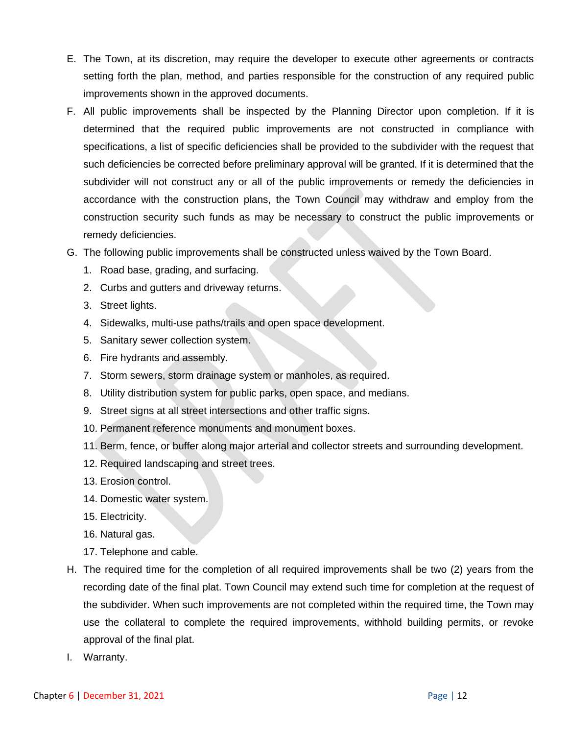- E. The Town, at its discretion, may require the developer to execute other agreements or contracts setting forth the plan, method, and parties responsible for the construction of any required public improvements shown in the approved documents.
- F. All public improvements shall be inspected by the Planning Director upon completion. If it is determined that the required public improvements are not constructed in compliance with specifications, a list of specific deficiencies shall be provided to the subdivider with the request that such deficiencies be corrected before preliminary approval will be granted. If it is determined that the subdivider will not construct any or all of the public improvements or remedy the deficiencies in accordance with the construction plans, the Town Council may withdraw and employ from the construction security such funds as may be necessary to construct the public improvements or remedy deficiencies.
- G. The following public improvements shall be constructed unless waived by the Town Board.
	- 1. Road base, grading, and surfacing.
	- 2. Curbs and gutters and driveway returns.
	- 3. Street lights.
	- 4. Sidewalks, multi-use paths/trails and open space development.
	- 5. Sanitary sewer collection system.
	- 6. Fire hydrants and assembly.
	- 7. Storm sewers, storm drainage system or manholes, as required.
	- 8. Utility distribution system for public parks, open space, and medians.
	- 9. Street signs at all street intersections and other traffic signs.
	- 10. Permanent reference monuments and monument boxes.
	- 11. Berm, fence, or buffer along major arterial and collector streets and surrounding development.
	- 12. Required landscaping and street trees.
	- 13. Erosion control.
	- 14. Domestic water system.
	- 15. Electricity.
	- 16. Natural gas.
	- 17. Telephone and cable.
- H. The required time for the completion of all required improvements shall be two (2) years from the recording date of the final plat. Town Council may extend such time for completion at the request of the subdivider. When such improvements are not completed within the required time, the Town may use the collateral to complete the required improvements, withhold building permits, or revoke approval of the final plat.
- I. Warranty.